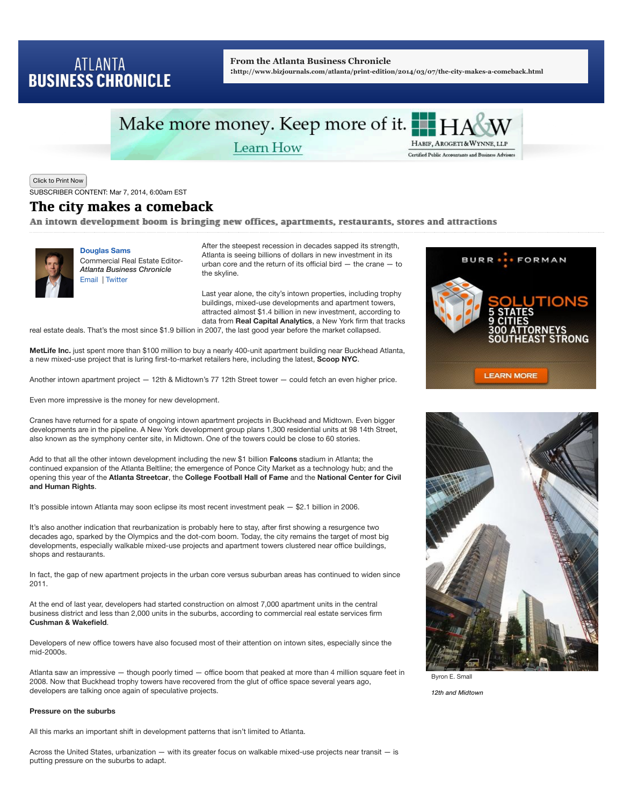## **ATLANTA BUSINESS CHRONICLE**

#### **From the Atlanta Business Chronicle**

**:http://www.bizjournals.com/atlanta/print-edition/2014/03/07/the-city-makes-a-comeback.html**

# Make more money. Keep more of it. H

Learn How



Click to Print Now

SUBSCRIBER CONTENT: Mar 7, 2014, 6:00am EST

### The city makes a comeback The city makes a comeback

An intown development boom is bringing new offices, apartments, restaurants, stores and attractions



**Douglas Sams** Commercial Real Estate Editor-*Atlanta Business Chronicle* Email | Twitter

After the steepest recession in decades sapped its strength, Atlanta is seeing billions of dollars in new investment in its urban core and the return of its official bird — the crane — to the skyline.

Last year alone, the city's intown properties, including trophy buildings, mixed-use developments and apartment towers, attracted almost \$1.4 billion in new investment, according to data from **Real Capital Analytics**, a New York firm that tracks

real estate deals. That's the most since \$1.9 billion in 2007, the last good year before the market collapsed.

**MetLife Inc.** just spent more than \$100 million to buy a nearly 400-unit apartment building near Buckhead Atlanta, a new mixed-use project that is luring first-to-market retailers here, including the latest, **Scoop NYC**.

Another intown apartment project — 12th & Midtown's 77 12th Street tower — could fetch an even higher price.

Even more impressive is the money for new development.

Cranes have returned for a spate of ongoing intown apartment projects in Buckhead and Midtown. Even bigger developments are in the pipeline. A New York development group plans 1,300 residential units at 98 14th Street, also known as the symphony center site, in Midtown. One of the towers could be close to 60 stories.

Add to that all the other intown development including the new \$1 billion **Falcons** stadium in Atlanta; the continued expansion of the Atlanta Beltline; the emergence of Ponce City Market as a technology hub; and the opening this year of the **Atlanta Streetcar**, the **College Football Hall of Fame** and the **National Center for Civil and Human Rights**.

It's possible intown Atlanta may soon eclipse its most recent investment peak — \$2.1 billion in 2006.

It's also another indication that reurbanization is probably here to stay, after first showing a resurgence two decades ago, sparked by the Olympics and the dot-com boom. Today, the city remains the target of most big developments, especially walkable mixed-use projects and apartment towers clustered near office buildings, shops and restaurants.

In fact, the gap of new apartment projects in the urban core versus suburban areas has continued to widen since 2011.

At the end of last year, developers had started construction on almost 7,000 apartment units in the central business district and less than 2,000 units in the suburbs, according to commercial real estate services firm **Cushman & Wakefield**.

Developers of new office towers have also focused most of their attention on intown sites, especially since the mid-2000s.

Atlanta saw an impressive — though poorly timed — office boom that peaked at more than 4 million square feet in 2008. Now that Buckhead trophy towers have recovered from the glut of office space several years ago, developers are talking once again of speculative projects.

#### **Pressure on the suburbs**

All this marks an important shift in development patterns that isn't limited to Atlanta.

Across the United States, urbanization — with its greater focus on walkable mixed-use projects near transit — is putting pressure on the suburbs to adapt.





Byron E. Small *12th and Midtown*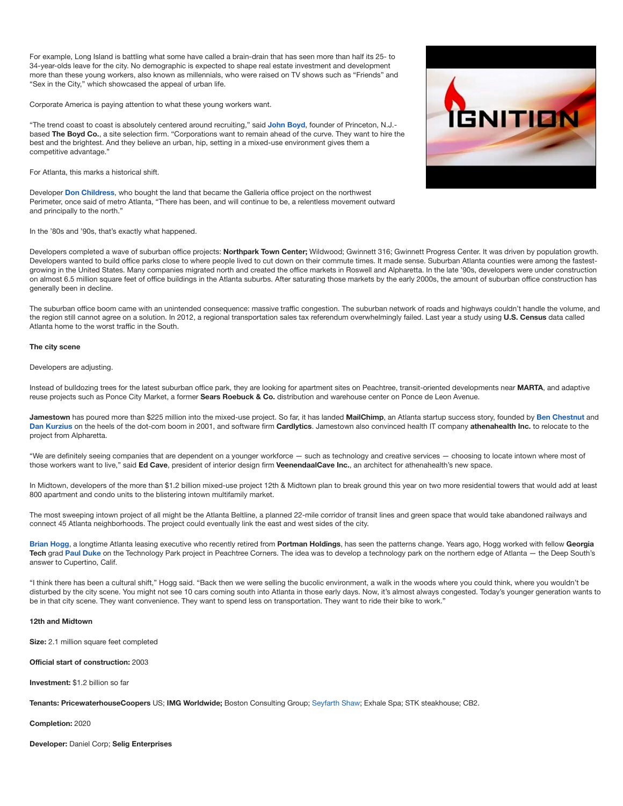For example, Long Island is battling what some have called a brain-drain that has seen more than half its 25- to 34-year-olds leave for the city. No demographic is expected to shape real estate investment and development more than these young workers, also known as millennials, who were raised on TV shows such as "Friends" and "Sex in the City," which showcased the appeal of urban life.

Corporate America is paying attention to what these young workers want.

"The trend coast to coast is absolutely centered around recruiting," said **John Boyd**, founder of Princeton, N.J. based **The Boyd Co.**, a site selection firm. "Corporations want to remain ahead of the curve. They want to hire the best and the brightest. And they believe an urban, hip, setting in a mixed-use environment gives them a competitive advantage."

For Atlanta, this marks a historical shift.

Developer **Don Childress**, who bought the land that became the Galleria office project on the northwest Perimeter, once said of metro Atlanta, "There has been, and will continue to be, a relentless movement outward and principally to the north."

In the '80s and '90s, that's exactly what happened.

Developers completed a wave of suburban office projects: **Northpark Town Center;** Wildwood; Gwinnett 316; Gwinnett Progress Center. It was driven by population growth. Developers wanted to build office parks close to where people lived to cut down on their commute times. It made sense. Suburban Atlanta counties were among the fastestgrowing in the United States. Many companies migrated north and created the office markets in Roswell and Alpharetta. In the late '90s, developers were under construction on almost 6.5 million square feet of office buildings in the Atlanta suburbs. After saturating those markets by the early 2000s, the amount of suburban office construction has generally been in decline.

The suburban office boom came with an unintended consequence: massive traffic congestion. The suburban network of roads and highways couldn't handle the volume, and the region still cannot agree on a solution. In 2012, a regional transportation sales tax referendum overwhelmingly failed. Last year a study using **U.S. Census** data called Atlanta home to the worst traffic in the South.

#### **The city scene**

#### Developers are adjusting.

Instead of bulldozing trees for the latest suburban office park, they are looking for apartment sites on Peachtree, transit-oriented developments near **MARTA**, and adaptive reuse projects such as Ponce City Market, a former **Sears Roebuck & Co.** distribution and warehouse center on Ponce de Leon Avenue.

**Jamestown** has poured more than \$225 million into the mixed-use project. So far, it has landed **MailChimp**, an Atlanta startup success story, founded by **Ben Chestnut** and **Dan Kurzius** on the heels of the dot-com boom in 2001, and software firm **Cardlytics**. Jamestown also convinced health IT company **athenahealth Inc.** to relocate to the project from Alpharetta.

"We are definitely seeing companies that are dependent on a younger workforce — such as technology and creative services — choosing to locate intown where most of those workers want to live," said **Ed Cave**, president of interior design firm **VeenendaalCave Inc.**, an architect for athenahealth's new space.

In Midtown, developers of the more than \$1.2 billion mixed-use project 12th & Midtown plan to break ground this year on two more residential towers that would add at least 800 apartment and condo units to the blistering intown multifamily market.

The most sweeping intown project of all might be the Atlanta Beltline, a planned 22-mile corridor of transit lines and green space that would take abandoned railways and connect 45 Atlanta neighborhoods. The project could eventually link the east and west sides of the city.

**Brian Hogg**, a longtime Atlanta leasing executive who recently retired from **Portman Holdings**, has seen the patterns change. Years ago, Hogg worked with fellow **Georgia Tech** grad **Paul Duke** on the Technology Park project in Peachtree Corners. The idea was to develop a technology park on the northern edge of Atlanta — the Deep South's answer to Cupertino, Calif.

"I think there has been a cultural shift," Hogg said. "Back then we were selling the bucolic environment, a walk in the woods where you could think, where you wouldn't be disturbed by the city scene. You might not see 10 cars coming south into Atlanta in those early days. Now, it's almost always congested. Today's younger generation wants to be in that city scene. They want convenience. They want to spend less on transportation. They want to ride their bike to work."

#### **12th and Midtown**

**Size:** 2.1 million square feet completed

**Official start of construction:** 2003

**Investment:** \$1.2 billion so far

**Tenants: PricewaterhouseCoopers** US; **IMG Worldwide;** Boston Consulting Group; Seyfarth Shaw; Exhale Spa; STK steakhouse; CB2.

**Completion:** 2020

**Developer:** Daniel Corp; **Selig Enterprises**

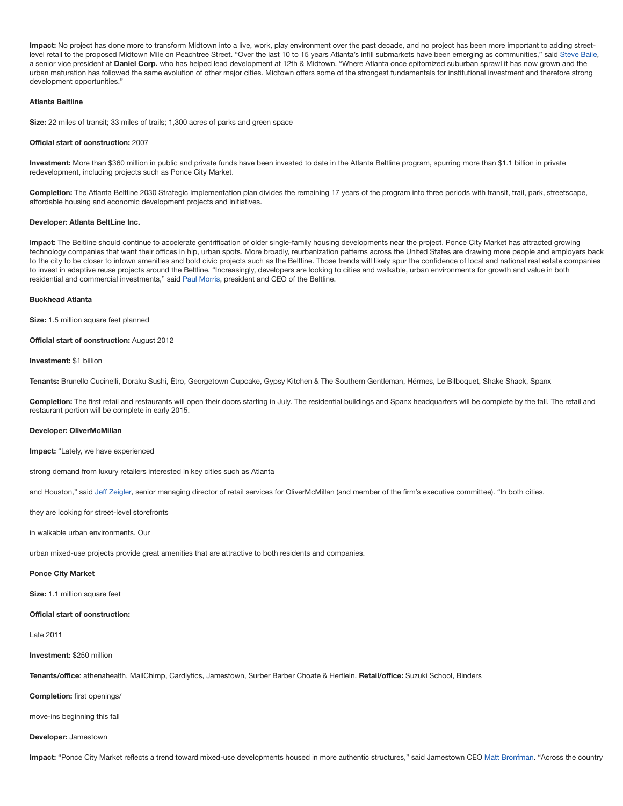Impact: No project has done more to transform Midtown into a live, work, play environment over the past decade, and no project has been more important to adding streetlevel retail to the proposed Midtown Mile on Peachtree Street. "Over the last 10 to 15 years Atlanta's infill submarkets have been emerging as communities," said Steve Baile, a senior vice president at **Daniel Corp.** who has helped lead development at 12th & Midtown. "Where Atlanta once epitomized suburban sprawl it has now grown and the urban maturation has followed the same evolution of other major cities. Midtown offers some of the strongest fundamentals for institutional investment and therefore strong development opportunities."

#### **Atlanta Beltline**

**Size:** 22 miles of transit; 33 miles of trails; 1,300 acres of parks and green space

#### **Official start of construction:** 2007

**Investment:** More than \$360 million in public and private funds have been invested to date in the Atlanta Beltline program, spurring more than \$1.1 billion in private redevelopment, including projects such as Ponce City Market.

**Completion:** The Atlanta Beltline 2030 Strategic Implementation plan divides the remaining 17 years of the program into three periods with transit, trail, park, streetscape, affordable housing and economic development projects and initiatives.

#### **Developer: Atlanta BeltLine Inc.**

I**mpact:** The Beltline should continue to accelerate gentrification of older single-family housing developments near the project. Ponce City Market has attracted growing technology companies that want their offices in hip, urban spots. More broadly, reurbanization patterns across the United States are drawing more people and employers back to the city to be closer to intown amenities and bold civic projects such as the Beltline. Those trends will likely spur the confidence of local and national real estate companies to invest in adaptive reuse projects around the Beltline. "Increasingly, developers are looking to cities and walkable, urban environments for growth and value in both residential and commercial investments," said Paul Morris, president and CEO of the Beltline.

#### **Buckhead Atlanta**

**Size:** 1.5 million square feet planned

#### **Official start of construction: August 2012**

**Investment:** \$1 billion

**Tenants:** Brunello Cucinelli, Doraku Sushi, Étro, Georgetown Cupcake, Gypsy Kitchen & The Southern Gentleman, Hérmes, Le Bilboquet, Shake Shack, Spanx

**Completion:** The first retail and restaurants will open their doors starting in July. The residential buildings and Spanx headquarters will be complete by the fall. The retail and restaurant portion will be complete in early 2015.

#### **Developer: OliverMcMillan**

**Impact:** "Lately, we have experienced

strong demand from luxury retailers interested in key cities such as Atlanta

and Houston," said Jeff Zeigler, senior managing director of retail services for OliverMcMillan (and member of the firm's executive committee). "In both cities,

they are looking for street-level storefronts

in walkable urban environments. Our

urban mixed-use projects provide great amenities that are attractive to both residents and companies.

#### **Ponce City Market**

**Size:** 1.1 million square feet

#### **Official start of construction:**

Late 2011

#### **Investment:** \$250 million

**Tenants/office**: athenahealth, MailChimp, Cardlytics, Jamestown, Surber Barber Choate & Hertlein. **Retail/office:** Suzuki School, Binders

**Completion:** first openings/

move-ins beginning this fall

#### **Developer:** Jamestown

**Impact:** "Ponce City Market reflects a trend toward mixed-use developments housed in more authentic structures," said Jamestown CEO Matt Bronfman. "Across the country